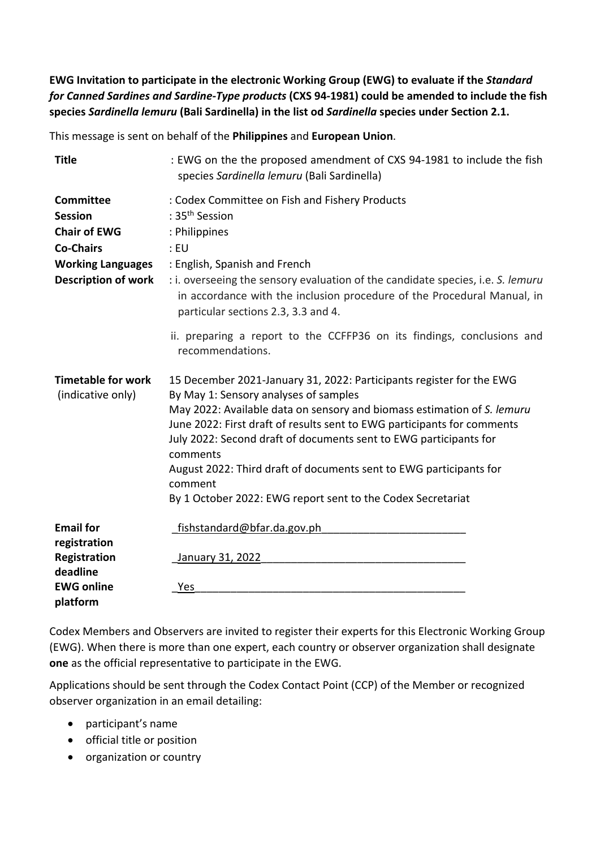**EWG Invitation to participate in the electronic Working Group (EWG) to evaluate if the** *Standard for Canned Sardines and Sardine-Type products* **(CXS 94-1981) could be amended to include the fish species** *Sardinella lemuru* **(Bali Sardinella) in the list od** *Sardinella* **species under Section 2.1.**

This message is sent on behalf of the **Philippines** and **European Union**.

| <b>Title</b>                                                                                                                            | : EWG on the the proposed amendment of CXS 94-1981 to include the fish<br>species Sardinella lemuru (Bali Sardinella)                                                                                                                                                                                                                                                                                                                                                                                |
|-----------------------------------------------------------------------------------------------------------------------------------------|------------------------------------------------------------------------------------------------------------------------------------------------------------------------------------------------------------------------------------------------------------------------------------------------------------------------------------------------------------------------------------------------------------------------------------------------------------------------------------------------------|
| <b>Committee</b><br><b>Session</b><br><b>Chair of EWG</b><br><b>Co-Chairs</b><br><b>Working Languages</b><br><b>Description of work</b> | : Codex Committee on Fish and Fishery Products<br>: $35th$ Session<br>: Philippines<br>$:$ EU<br>: English, Spanish and French<br>: i. overseeing the sensory evaluation of the candidate species, i.e. S. lemuru<br>in accordance with the inclusion procedure of the Procedural Manual, in<br>particular sections 2.3, 3.3 and 4.                                                                                                                                                                  |
|                                                                                                                                         | ii. preparing a report to the CCFFP36 on its findings, conclusions and<br>recommendations.                                                                                                                                                                                                                                                                                                                                                                                                           |
| <b>Timetable for work</b><br>(indicative only)                                                                                          | 15 December 2021-January 31, 2022: Participants register for the EWG<br>By May 1: Sensory analyses of samples<br>May 2022: Available data on sensory and biomass estimation of S. lemuru<br>June 2022: First draft of results sent to EWG participants for comments<br>July 2022: Second draft of documents sent to EWG participants for<br>comments<br>August 2022: Third draft of documents sent to EWG participants for<br>comment<br>By 1 October 2022: EWG report sent to the Codex Secretariat |
| <b>Email for</b><br>registration<br>Registration<br>deadline<br><b>EWG online</b><br>platform                                           | fishstandard@bfar.da.gov.ph<br>January 31, 2022<br>Yes                                                                                                                                                                                                                                                                                                                                                                                                                                               |

Codex Members and Observers are invited to register their experts for this Electronic Working Group (EWG). When there is more than one expert, each country or observer organization shall designate **one** as the official representative to participate in the EWG.

Applications should be sent through the Codex Contact Point (CCP) of the Member or recognized observer organization in an email detailing:

- participant's name
- official title or position
- organization or country